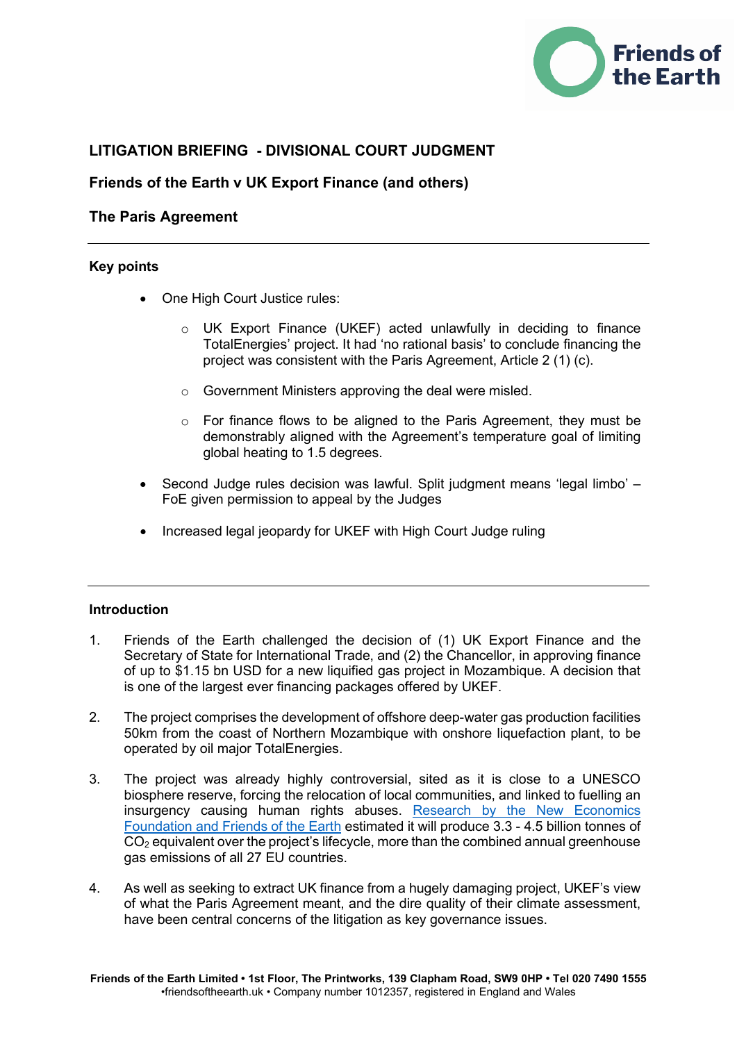

# **LITIGATION BRIEFING - DIVISIONAL COURT JUDGMENT**

# **Friends of the Earth v UK Export Finance (and others)**

# **The Paris Agreement**

### **Key points**

- One High Court Justice rules:
	- o UK Export Finance (UKEF) acted unlawfully in deciding to finance TotalEnergies' project. It had 'no rational basis' to conclude financing the project was consistent with the Paris Agreement, Article 2 (1) (c).
	- o Government Ministers approving the deal were misled.
	- o For finance flows to be aligned to the Paris Agreement, they must be demonstrably aligned with the Agreement's temperature goal of limiting global heating to 1.5 degrees.
- Second Judge rules decision was lawful. Split judgment means 'legal limbo' FoE given permission to appeal by the Judges
- Increased legal jeopardy for UKEF with High Court Judge ruling

## **Introduction**

- 1. Friends of the Earth challenged the decision of (1) UK Export Finance and the Secretary of State for International Trade, and (2) the Chancellor, in approving finance of up to \$1.15 bn USD for a new liquified gas project in Mozambique. A decision that is one of the largest ever financing packages offered by UKEF.
- 2. The project comprises the development of offshore deep-water gas production facilities 50km from the coast of Northern Mozambique with onshore liquefaction plant, to be operated by oil major TotalEnergies.
- 3. The project was already highly controversial, sited as it is close to a UNESCO biosphere reserve, forcing the relocation of local communities, and linked to fuelling an insurgency causing human rights abuses. [Research by the New Economics](https://policy.friendsoftheearth.uk/insight/tip-iceberg-future-fossil-fuel-extraction)  [Foundation and Friends of the Earth](https://policy.friendsoftheearth.uk/insight/tip-iceberg-future-fossil-fuel-extraction) estimated it will produce 3.3 - 4.5 billion tonnes of  $CO<sub>2</sub>$  equivalent over the project's lifecycle, more than the combined annual greenhouse gas emissions of all 27 EU countries.
- 4. As well as seeking to extract UK finance from a hugely damaging project, UKEF's view of what the Paris Agreement meant, and the dire quality of their climate assessment, have been central concerns of the litigation as key governance issues.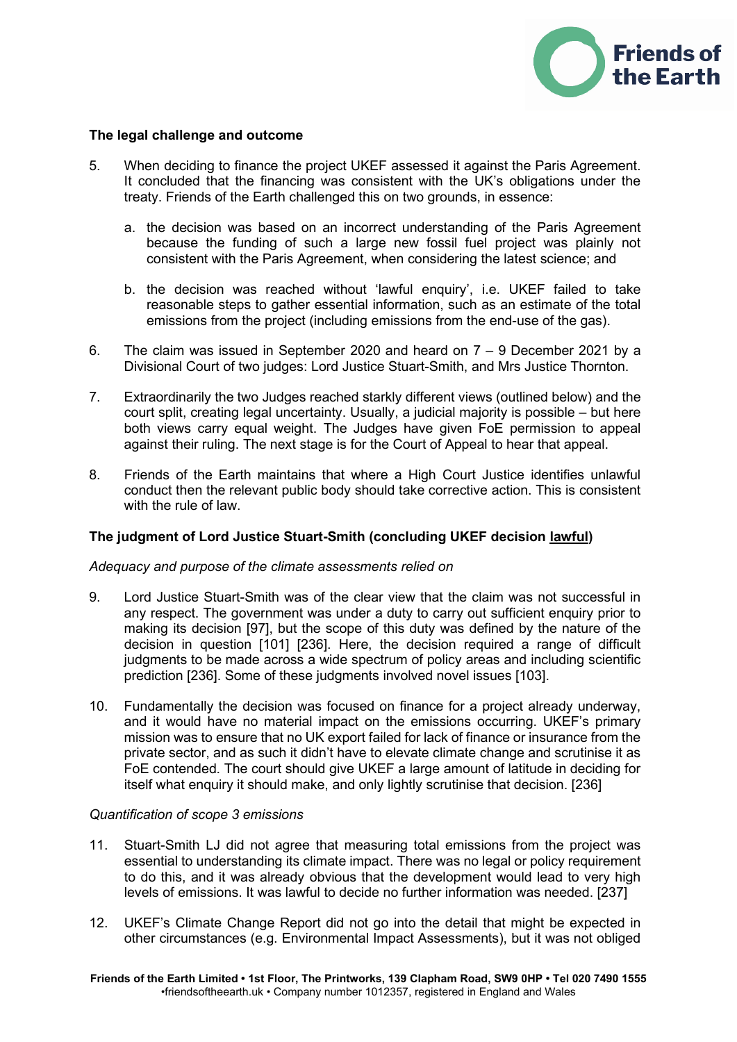

#### **The legal challenge and outcome**

- 5. When deciding to finance the project UKEF assessed it against the Paris Agreement. It concluded that the financing was consistent with the UK's obligations under the treaty. Friends of the Earth challenged this on two grounds, in essence:
	- a. the decision was based on an incorrect understanding of the Paris Agreement because the funding of such a large new fossil fuel project was plainly not consistent with the Paris Agreement, when considering the latest science; and
	- b. the decision was reached without 'lawful enquiry', i.e. UKEF failed to take reasonable steps to gather essential information, such as an estimate of the total emissions from the project (including emissions from the end-use of the gas).
- 6. The claim was issued in September 2020 and heard on  $7 9$  December 2021 by a Divisional Court of two judges: Lord Justice Stuart-Smith, and Mrs Justice Thornton.
- 7. Extraordinarily the two Judges reached starkly different views (outlined below) and the court split, creating legal uncertainty. Usually, a judicial majority is possible – but here both views carry equal weight. The Judges have given FoE permission to appeal against their ruling. The next stage is for the Court of Appeal to hear that appeal.
- 8. Friends of the Earth maintains that where a High Court Justice identifies unlawful conduct then the relevant public body should take corrective action. This is consistent with the rule of law.

## **The judgment of Lord Justice Stuart-Smith (concluding UKEF decision lawful)**

#### *Adequacy and purpose of the climate assessments relied on*

- 9. Lord Justice Stuart-Smith was of the clear view that the claim was not successful in any respect. The government was under a duty to carry out sufficient enquiry prior to making its decision [97], but the scope of this duty was defined by the nature of the decision in question [101] [236]. Here, the decision required a range of difficult judgments to be made across a wide spectrum of policy areas and including scientific prediction [236]. Some of these judgments involved novel issues [103].
- 10. Fundamentally the decision was focused on finance for a project already underway, and it would have no material impact on the emissions occurring. UKEF's primary mission was to ensure that no UK export failed for lack of finance or insurance from the private sector, and as such it didn't have to elevate climate change and scrutinise it as FoE contended. The court should give UKEF a large amount of latitude in deciding for itself what enquiry it should make, and only lightly scrutinise that decision. [236]

#### *Quantification of scope 3 emissions*

- 11. Stuart-Smith LJ did not agree that measuring total emissions from the project was essential to understanding its climate impact. There was no legal or policy requirement to do this, and it was already obvious that the development would lead to very high levels of emissions. It was lawful to decide no further information was needed. [237]
- 12. UKEF's Climate Change Report did not go into the detail that might be expected in other circumstances (e.g. Environmental Impact Assessments), but it was not obliged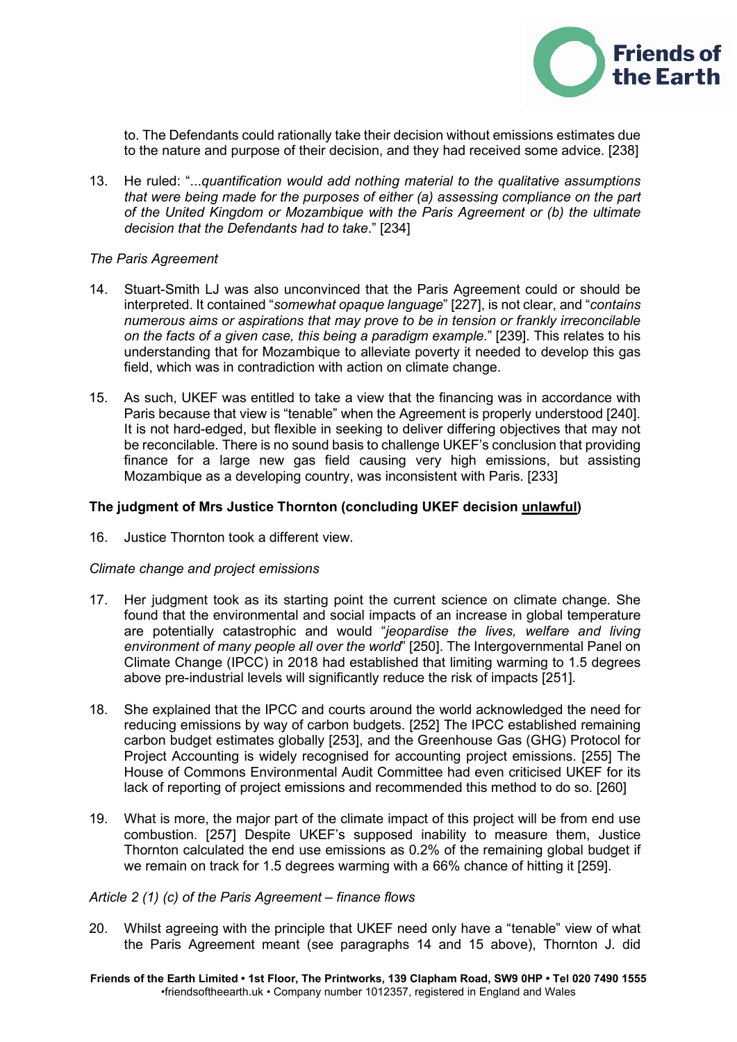

to. The Defendants could rationally take their decision without emissions estimates due to the nature and purpose of their decision, and they had received some advice. [238]

13. He ruled: "...*quantification would add nothing material to the qualitative assumptions that were being made for the purposes of either (a) assessing compliance on the part of the United Kingdom or Mozambique with the Paris Agreement or (b) the ultimate decision that the Defendants had to take*." [234]

#### *The Paris Agreement*

- 14. Stuart-Smith LJ was also unconvinced that the Paris Agreement could or should be interpreted. It contained "*somewhat opaque language*" [227], is not clear, and "*contains numerous aims or aspirations that may prove to be in tension or frankly irreconcilable on the facts of a given case, this being a paradigm example*." [239]. This relates to his understanding that for Mozambique to alleviate poverty it needed to develop this gas field, which was in contradiction with action on climate change.
- 15. As such, UKEF was entitled to take a view that the financing was in accordance with Paris because that view is "tenable" when the Agreement is properly understood [240]. It is not hard-edged, but flexible in seeking to deliver differing objectives that may not be reconcilable. There is no sound basis to challenge UKEF's conclusion that providing finance for a large new gas field causing very high emissions, but assisting Mozambique as a developing country, was inconsistent with Paris. [233]

#### **The judgment of Mrs Justice Thornton (concluding UKEF decision unlawful)**

16. Justice Thornton took a different view.

#### *Climate change and project emissions*

- 17. Her judgment took as its starting point the current science on climate change. She found that the environmental and social impacts of an increase in global temperature are potentially catastrophic and would "*jeopardise the lives, welfare and living environment of many people all over the world*" [250]. The Intergovernmental Panel on Climate Change (IPCC) in 2018 had established that limiting warming to 1.5 degrees above pre-industrial levels will significantly reduce the risk of impacts [251].
- 18. She explained that the IPCC and courts around the world acknowledged the need for reducing emissions by way of carbon budgets. [252] The IPCC established remaining carbon budget estimates globally [253], and the Greenhouse Gas (GHG) Protocol for Project Accounting is widely recognised for accounting project emissions. [255] The House of Commons Environmental Audit Committee had even criticised UKEF for its lack of reporting of project emissions and recommended this method to do so. [260]
- 19. What is more, the major part of the climate impact of this project will be from end use combustion. [257] Despite UKEF's supposed inability to measure them, Justice Thornton calculated the end use emissions as 0.2% of the remaining global budget if we remain on track for 1.5 degrees warming with a 66% chance of hitting it [259].

#### *Article 2 (1) (c) of the Paris Agreement – finance flows*

20. Whilst agreeing with the principle that UKEF need only have a "tenable" view of what the Paris Agreement meant (see paragraphs 14 and 15 above), Thornton J. did

**Friends of the Earth Limited • 1st Floor, The Printworks, 139 Clapham Road, SW9 0HP • Tel 020 7490 1555** •friendsoftheearth.uk • Company number 1012357, registered in England and Wales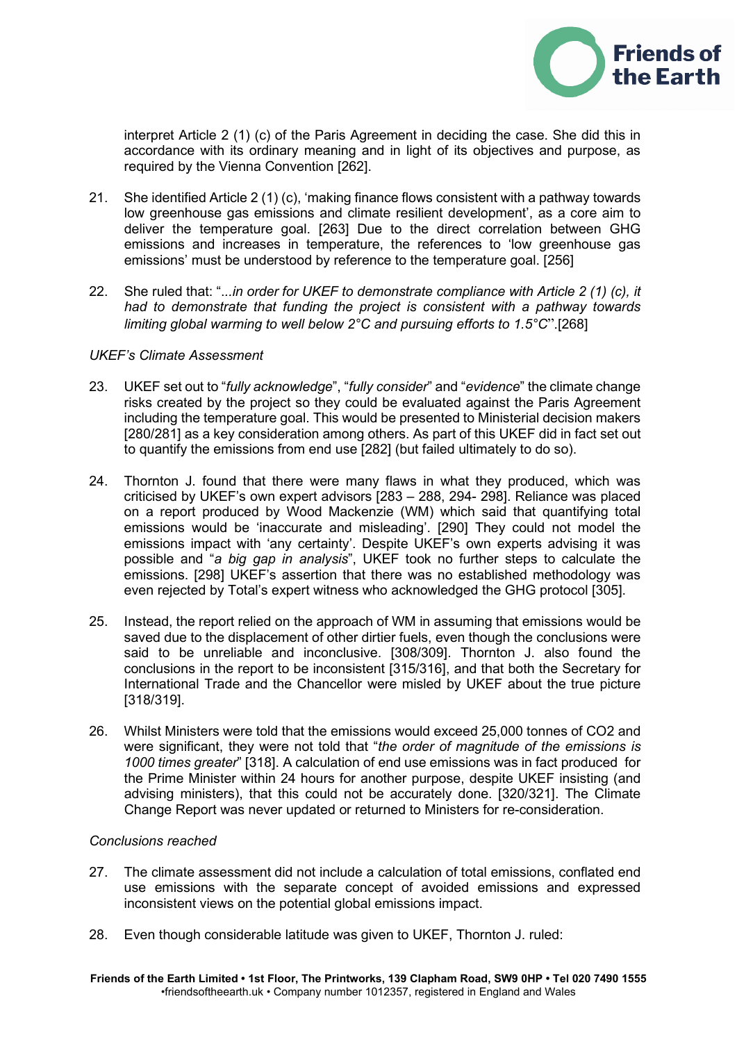

interpret Article 2 (1) (c) of the Paris Agreement in deciding the case. She did this in accordance with its ordinary meaning and in light of its objectives and purpose, as required by the Vienna Convention [262].

- 21. She identified Article 2 (1) (c), 'making finance flows consistent with a pathway towards low greenhouse gas emissions and climate resilient development', as a core aim to deliver the temperature goal. [263] Due to the direct correlation between GHG emissions and increases in temperature, the references to 'low greenhouse gas emissions' must be understood by reference to the temperature goal. [256]
- 22. She ruled that: ".*..in order for UKEF to demonstrate compliance with Article 2 (1) (c), it had to demonstrate that funding the project is consistent with a pathway towards limiting global warming to well below 2°C and pursuing efforts to 1.5°C*".[268]

### *UKEF's Climate Assessment*

- 23. UKEF set out to "*fully acknowledge*", "*fully consider*" and "*evidence*" the climate change risks created by the project so they could be evaluated against the Paris Agreement including the temperature goal. This would be presented to Ministerial decision makers [280/281] as a key consideration among others. As part of this UKEF did in fact set out to quantify the emissions from end use [282] (but failed ultimately to do so).
- 24. Thornton J. found that there were many flaws in what they produced, which was criticised by UKEF's own expert advisors [283 – 288, 294- 298]. Reliance was placed on a report produced by Wood Mackenzie (WM) which said that quantifying total emissions would be 'inaccurate and misleading'. [290] They could not model the emissions impact with 'any certainty'. Despite UKEF's own experts advising it was possible and "*a big gap in analysis*", UKEF took no further steps to calculate the emissions. [298] UKEF's assertion that there was no established methodology was even rejected by Total's expert witness who acknowledged the GHG protocol [305].
- 25. Instead, the report relied on the approach of WM in assuming that emissions would be saved due to the displacement of other dirtier fuels, even though the conclusions were said to be unreliable and inconclusive. [308/309]. Thornton J. also found the conclusions in the report to be inconsistent [315/316], and that both the Secretary for International Trade and the Chancellor were misled by UKEF about the true picture [318/319].
- 26. Whilst Ministers were told that the emissions would exceed 25,000 tonnes of CO2 and were significant, they were not told that "*the order of magnitude of the emissions is 1000 times greater*" [318]. A calculation of end use emissions was in fact produced for the Prime Minister within 24 hours for another purpose, despite UKEF insisting (and advising ministers), that this could not be accurately done. [320/321]. The Climate Change Report was never updated or returned to Ministers for re-consideration.

#### *Conclusions reached*

- 27. The climate assessment did not include a calculation of total emissions, conflated end use emissions with the separate concept of avoided emissions and expressed inconsistent views on the potential global emissions impact.
- 28. Even though considerable latitude was given to UKEF, Thornton J. ruled: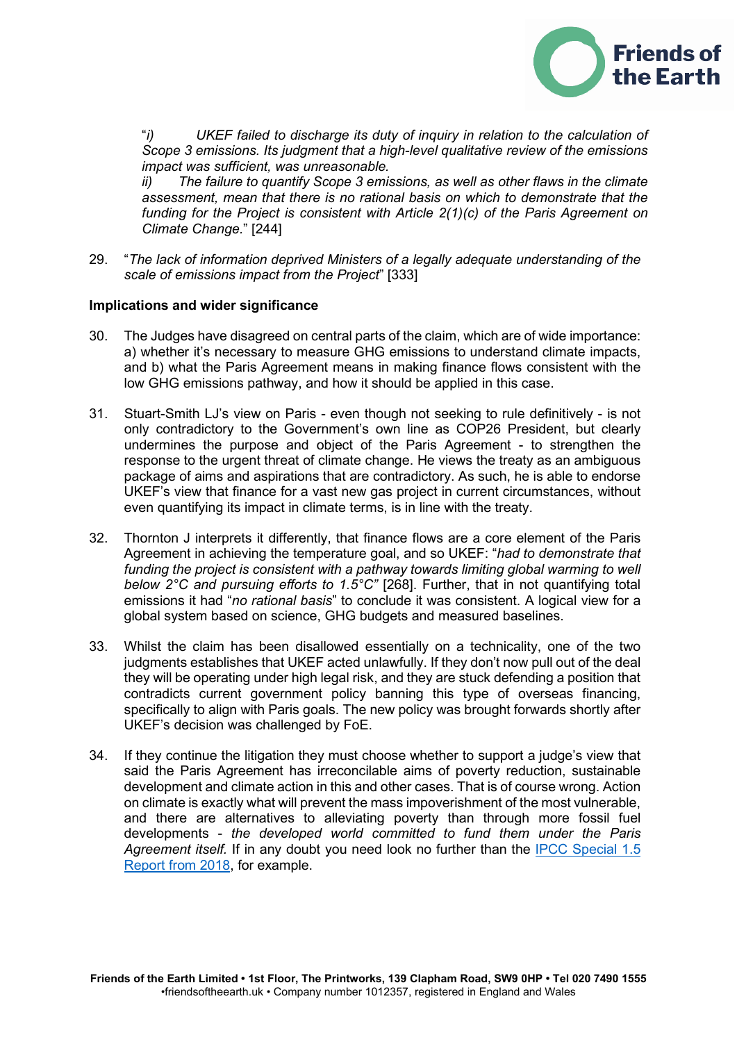

"*i) UKEF failed to discharge its duty of inquiry in relation to the calculation of Scope 3 emissions. Its judgment that a high-level qualitative review of the emissions impact was sufficient, was unreasonable.* 

*ii) The failure to quantify Scope 3 emissions, as well as other flaws in the climate assessment, mean that there is no rational basis on which to demonstrate that the funding for the Project is consistent with Article 2(1)(c) of the Paris Agreement on Climate Change.*" [244]

29. "*The lack of information deprived Ministers of a legally adequate understanding of the scale of emissions impact from the Project*" [333]

#### **Implications and wider significance**

- 30. The Judges have disagreed on central parts of the claim, which are of wide importance: a) whether it's necessary to measure GHG emissions to understand climate impacts, and b) what the Paris Agreement means in making finance flows consistent with the low GHG emissions pathway, and how it should be applied in this case.
- 31. Stuart-Smith LJ's view on Paris even though not seeking to rule definitively is not only contradictory to the Government's own line as COP26 President, but clearly undermines the purpose and object of the Paris Agreement - to strengthen the response to the urgent threat of climate change. He views the treaty as an ambiguous package of aims and aspirations that are contradictory. As such, he is able to endorse UKEF's view that finance for a vast new gas project in current circumstances, without even quantifying its impact in climate terms, is in line with the treaty.
- 32. Thornton J interprets it differently, that finance flows are a core element of the Paris Agreement in achieving the temperature goal, and so UKEF: "*had to demonstrate that*  funding the project is consistent with a pathway towards limiting global warming to well *below 2°C and pursuing efforts to 1.5°C"* [268]. Further, that in not quantifying total emissions it had "*no rational basis*" to conclude it was consistent. A logical view for a global system based on science, GHG budgets and measured baselines.
- 33. Whilst the claim has been disallowed essentially on a technicality, one of the two judgments establishes that UKEF acted unlawfully. If they don't now pull out of the deal they will be operating under high legal risk, and they are stuck defending a position that contradicts current government policy banning this type of overseas financing, specifically to align with Paris goals. The new policy was brought forwards shortly after UKEF's decision was challenged by FoE.
- 34. If they continue the litigation they must choose whether to support a judge's view that said the Paris Agreement has irreconcilable aims of poverty reduction, sustainable development and climate action in this and other cases. That is of course wrong. Action on climate is exactly what will prevent the mass impoverishment of the most vulnerable, and there are alternatives to alleviating poverty than through more fossil fuel developments - *the developed world committed to fund them under the Paris Agreement itself.* If in any doubt you need look no further than the [IPCC Special 1.5](https://www.ipcc.ch/sr15/chapter/spm/%3e)  [Report from 2018,](https://www.ipcc.ch/sr15/chapter/spm/%3e) for example.